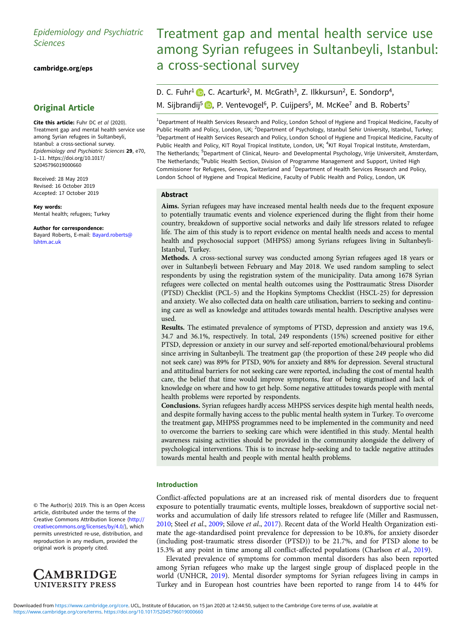# Epidemiology and Psychiatric Sciences

[cambridge.org/eps](https://www.cambridge.org/eps)

# Original Article

Cite this article: Fuhr DC et al (2020). Treatment gap and mental health service use among Syrian refugees in Sultanbeyli, Istanbul: a cross-sectional survey. Epidemiology and Psychiatric Sciences 29, e70, 1–11. [https://doi.org/10.1017/](https://doi.org/10.1017/S2045796019000660) [S2045796019000660](https://doi.org/10.1017/S2045796019000660)

Received: 28 May 2019 Revised: 16 October 2019 Accepted: 17 October 2019

Key words: Mental health; refugees; Turkey

Author for correspondence: Bayard Roberts, E-mail: [Bayard.roberts@](mailto:Bayard.roberts@lshtm.ac.uk) [lshtm.ac.uk](mailto:Bayard.roberts@lshtm.ac.uk)

© The Author(s) 2019. This is an Open Access article, distributed under the terms of the Creative Commons Attribution licence ([http://](http://creativecommons.org/licenses/by/4.0/) [creativecommons.org/licenses/by/4.0/](http://creativecommons.org/licenses/by/4.0/)), which permits unrestricted re-use, distribution, and reproduction in any medium, provided the original work is properly cited.



# Treatment gap and mental health service use among Syrian refugees in Sultanbeyli, Istanbul: a cross-sectional survey

# D. C. Fuhr<sup>1</sup> D[,](https://orcid.org/0000-0001-9020-4629) C. Acarturk<sup>2</sup>, M. McGrath<sup>3</sup>, Z. Ilkkursun<sup>2</sup>, E. Sondorp<sup>4</sup>, M. Sijbrandij<sup>5</sup>  $\bullet$ [,](https://orcid.org/0000-0001-5430-9810) P. Ventevogel<sup>6</sup>, P. Cuijpers<sup>5</sup>, M. McKee<sup>7</sup> and B. Roberts<sup>7</sup>

<sup>1</sup>Department of Health Services Research and Policy, London School of Hygiene and Tropical Medicine, Faculty of Public Health and Policy, London, UK; <sup>2</sup>Department of Psychology, Istanbul Sehir University, Istanbul, Turkey; <sup>3</sup>Department of Health Services Research and Policy, London School of Hygiene and Tropical Medicine, Faculty of Public Health and Policy, KIT Royal Tropical Institute, London, UK; <sup>4</sup>KIT Royal Tropical Institute, Amsterdam, The Netherlands; <sup>5</sup>Department of Clinical, Neuro- and Developmental Psychology, Vrije Universiteit, Amsterdam, The Netherlands; <sup>6</sup>Public Health Section, Division of Programme Management and Support, United High Commissioner for Refugees, Geneva, Switzerland and <sup>7</sup>Department of Health Services Research and Policy, London School of Hygiene and Tropical Medicine, Faculty of Public Health and Policy, London, UK

## Abstract

Aims. Syrian refugees may have increased mental health needs due to the frequent exposure to potentially traumatic events and violence experienced during the flight from their home country, breakdown of supportive social networks and daily life stressors related to refugee life. The aim of this study is to report evidence on mental health needs and access to mental health and psychosocial support (MHPSS) among Syrians refugees living in Sultanbeyli-Istanbul, Turkey.

Methods. A cross-sectional survey was conducted among Syrian refugees aged 18 years or over in Sultanbeyli between February and May 2018. We used random sampling to select respondents by using the registration system of the municipality. Data among 1678 Syrian refugees were collected on mental health outcomes using the Posttraumatic Stress Disorder (PTSD) Checklist (PCL-5) and the Hopkins Symptoms Checklist (HSCL-25) for depression and anxiety. We also collected data on health care utilisation, barriers to seeking and continuing care as well as knowledge and attitudes towards mental health. Descriptive analyses were used.

Results. The estimated prevalence of symptoms of PTSD, depression and anxiety was 19.6, 34.7 and 36.1%, respectively. In total, 249 respondents (15%) screened positive for either PTSD, depression or anxiety in our survey and self-reported emotional/behavioural problems since arriving in Sultanbeyli. The treatment gap (the proportion of these 249 people who did not seek care) was 89% for PTSD, 90% for anxiety and 88% for depression. Several structural and attitudinal barriers for not seeking care were reported, including the cost of mental health care, the belief that time would improve symptoms, fear of being stigmatised and lack of knowledge on where and how to get help. Some negative attitudes towards people with mental health problems were reported by respondents.

Conclusions. Syrian refugees hardly access MHPSS services despite high mental health needs, and despite formally having access to the public mental health system in Turkey. To overcome the treatment gap, MHPSS programmes need to be implemented in the community and need to overcome the barriers to seeking care which were identified in this study. Mental health awareness raising activities should be provided in the community alongside the delivery of psychological interventions. This is to increase help-seeking and to tackle negative attitudes towards mental health and people with mental health problems.

# Introduction

Conflict-affected populations are at an increased risk of mental disorders due to frequent exposure to potentially traumatic events, multiple losses, breakdown of supportive social networks and accumulation of daily life stressors related to refugee life (Miller and Rasmussen, [2010;](#page-7-0) Steel et al., [2009;](#page-8-0) Silove et al., [2017\)](#page-8-0). Recent data of the World Health Organization estimate the age-standardised point prevalence for depression to be 10.8%, for anxiety disorder (including post-traumatic stress disorder (PTSD)) to be 21.7%, and for PTSD alone to be 15.3% at any point in time among all conflict-affected populations (Charlson et al., [2019\)](#page-7-0).

Elevated prevalence of symptoms for common mental disorders has also been reported among Syrian refugees who make up the largest single group of displaced people in the world (UNHCR, [2019](#page-8-0)). Mental disorder symptoms for Syrian refugees living in camps in Turkey and in European host countries have been reported to range from 14 to 44% for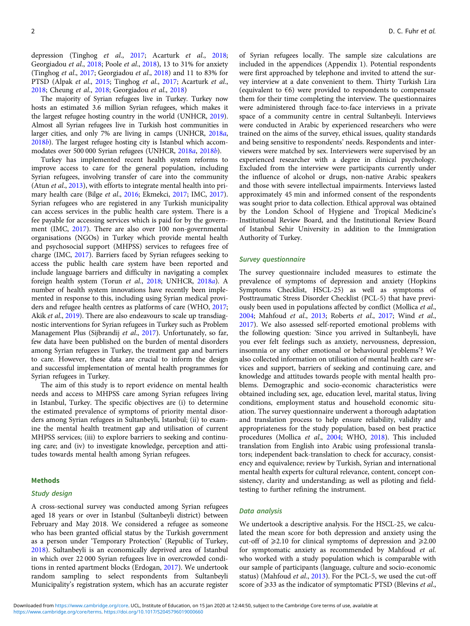depression (Tinghog et al., [2017](#page-8-0); Acarturk et al., [2018](#page-7-0); Georgiadou et al., [2018;](#page-7-0) Poole et al., [2018\)](#page-7-0), 13 to 31% for anxiety (Tinghog et al., [2017](#page-8-0); Georgiadou et al., [2018](#page-7-0)) and 11 to 83% for PTSD (Alpak et al., [2015](#page-7-0); Tinghog et al., [2017](#page-8-0); Acarturk et al., [2018;](#page-7-0) Cheung et al., [2018](#page-7-0); Georgiadou et al., [2018\)](#page-7-0)

The majority of Syrian refugees live in Turkey. Turkey now hosts an estimated 3.6 million Syrian refugees, which makes it the largest refugee hosting country in the world (UNHCR, [2019\)](#page-8-0). Almost all Syrian refugees live in Turkish host communities in larger cities, and only 7% are living in camps (UNHCR, [2018](#page-8-0)a, [2018](#page-8-0)b). The largest refugee hosting city is Istanbul which accommodates over 500 000 Syrian refugees (UNHCR, [2018](#page-8-0)a, [2018](#page-8-0)b).

Turkey has implemented recent health system reforms to improve access to care for the general population, including Syrian refugees, involving transfer of care into the community (Atun et al., [2013](#page-7-0)), with efforts to integrate mental health into primary health care (Bilge et al., [2016](#page-7-0); Ekmekci, [2017](#page-7-0); IMC, [2017\)](#page-7-0). Syrian refugees who are registered in any Turkish municipality can access services in the public health care system. There is a fee payable for accessing services which is paid for by the government (IMC, [2017\)](#page-7-0). There are also over 100 non-governmental organisations (NGOs) in Turkey which provide mental health and psychosocial support (MHPSS) services to refugees free of charge (IMC, [2017\)](#page-7-0). Barriers faced by Syrian refugees seeking to access the public health care system have been reported and include language barriers and difficulty in navigating a complex foreign health system (Torun et al., [2018;](#page-8-0) UNHCR, [2018](#page-8-0)a). A number of health system innovations have recently been implemented in response to this, including using Syrian medical providers and refugee health centres as platforms of care (WHO, [2017](#page-8-0); Akik et al., [2019\)](#page-7-0). There are also endeavours to scale up transdiagnostic interventions for Syrian refugees in Turkey such as Problem Management Plus (Sijbrandij et al., [2017\)](#page-7-0). Unfortunately, so far, few data have been published on the burden of mental disorders among Syrian refugees in Turkey, the treatment gap and barriers to care. However, these data are crucial to inform the design and successful implementation of mental health programmes for Syrian refugees in Turkey.

The aim of this study is to report evidence on mental health needs and access to MHPSS care among Syrian refugees living in Istanbul, Turkey. The specific objectives are (i) to determine the estimated prevalence of symptoms of priority mental disorders among Syrian refugees in Sultanbeyli, Istanbul; (ii) to examine the mental health treatment gap and utilisation of current MHPSS services; (iii) to explore barriers to seeking and continuing care; and (iv) to investigate knowledge, perception and attitudes towards mental health among Syrian refugees.

## Methods

#### Study design

A cross-sectional survey was conducted among Syrian refugees aged 18 years or over in Istanbul (Sultanbeyli district) between February and May 2018. We considered a refugee as someone who has been granted official status by the Turkish government as a person under 'Temporary Protection' (Republic of Turkey, [2018\)](#page-7-0). Sultanbeyli is an economically deprived area of Istanbul in which over 22 000 Syrian refugees live in overcrowded conditions in rented apartment blocks (Erdogan, [2017\)](#page-7-0). We undertook random sampling to select respondents from Sultanbeyli Municipality's registration system, which has an accurate register

of Syrian refugees locally. The sample size calculations are included in the appendices (Appendix 1). Potential respondents were first approached by telephone and invited to attend the survey interview at a date convenient to them. Thirty Turkish Lira (equivalent to  $\epsilon$ 6) were provided to respondents to compensate them for their time completing the interview. The questionnaires were administered through face-to-face interviews in a private space of a community centre in central Sultanbeyli. Interviews were conducted in Arabic by experienced researchers who were trained on the aims of the survey, ethical issues, quality standards and being sensitive to respondents' needs. Respondents and interviewers were matched by sex. Interviewers were supervised by an experienced researcher with a degree in clinical psychology. Excluded from the interview were participants currently under the influence of alcohol or drugs, non-native Arabic speakers and those with severe intellectual impairments. Interviews lasted approximately 45 min and informed consent of the respondents was sought prior to data collection. Ethical approval was obtained by the London School of Hygiene and Tropical Medicine's Institutional Review Board, and the Institutional Review Board of Istanbul Sehir University in addition to the Immigration Authority of Turkey.

#### Survey questionnaire

The survey questionnaire included measures to estimate the prevalence of symptoms of depression and anxiety (Hopkins Symptoms Checklist, HSCL-25) as well as symptoms of Posttraumatic Stress Disorder Checklist (PCL-5) that have previously been used in populations affected by conflict (Mollica et al., [2004;](#page-7-0) Mahfoud et al., [2013;](#page-7-0) Roberts et al., [2017;](#page-7-0) Wind et al., [2017\)](#page-8-0). We also assessed self-reported emotional problems with the following question: 'Since you arrived in Sultanbeyli, have you ever felt feelings such as anxiety, nervousness, depression, insomnia or any other emotional or behavioural problems'? We also collected information on utilisation of mental health care services and support, barriers of seeking and continuing care, and knowledge and attitudes towards people with mental health problems. Demographic and socio-economic characteristics were obtained including sex, age, education level, marital status, living conditions, employment status and household economic situation. The survey questionnaire underwent a thorough adaptation and translation process to help ensure reliability, validity and appropriateness for the study population, based on best practice procedures (Mollica et al., [2004](#page-7-0); WHO, [2018\)](#page-8-0). This included translation from English into Arabic using professional translators; independent back-translation to check for accuracy, consistency and equivalence; review by Turkish, Syrian and international mental health experts for cultural relevance, content, concept consistency, clarity and understanding; as well as piloting and fieldtesting to further refining the instrument.

## Data analysis

We undertook a descriptive analysis. For the HSCL-25, we calculated the mean score for both depression and anxiety using the cut-off of  $\geq 2.10$  for clinical symptoms of depression and  $\geq 2.00$ for symptomatic anxiety as recommended by Mahfoud et al. who worked with a study population which is comparable with our sample of participants (language, culture and socio-economic status) (Mahfoud et al., [2013\)](#page-7-0). For the PCL-5, we used the cut-off score of  $\geq$ 33 as the indicator of symptomatic PTSD (Blevins et al.,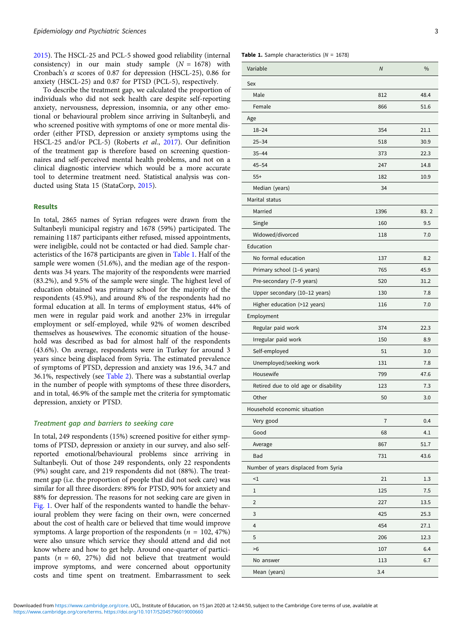[2015\)](#page-7-0). The HSCL-25 and PCL-5 showed good reliability (internal consistency) in our main study sample  $(N = 1678)$  with Cronbach's  $\alpha$  scores of 0.87 for depression (HSCL-25), 0.86 for anxiety (HSCL-25) and 0.87 for PTSD (PCL-5), respectively.

To describe the treatment gap, we calculated the proportion of individuals who did not seek health care despite self-reporting anxiety, nervousness, depression, insomnia, or any other emotional or behavioural problem since arriving in Sultanbeyli, and who screened positive with symptoms of one or more mental disorder (either PTSD, depression or anxiety symptoms using the HSCL-25 and/or PCL-5) (Roberts et al., [2017](#page-7-0)). Our definition of the treatment gap is therefore based on screening questionnaires and self-perceived mental health problems, and not on a clinical diagnostic interview which would be a more accurate tool to determine treatment need. Statistical analysis was conducted using Stata 15 (StataCorp, [2015](#page-8-0)).

# Results

In total, 2865 names of Syrian refugees were drawn from the Sultanbeyli municipal registry and 1678 (59%) participated. The remaining 1187 participants either refused, missed appointments, were ineligible, could not be contacted or had died. Sample characteristics of the 1678 participants are given in Table 1. Half of the sample were women (51.6%), and the median age of the respondents was 34 years. The majority of the respondents were married (83.2%), and 9.5% of the sample were single. The highest level of education obtained was primary school for the majority of the respondents (45.9%), and around 8% of the respondents had no formal education at all. In terms of employment status, 44% of men were in regular paid work and another 23% in irregular employment or self-employed, while 92% of women described themselves as housewives. The economic situation of the household was described as bad for almost half of the respondents (43.6%). On average, respondents were in Turkey for around 3 years since being displaced from Syria. The estimated prevalence of symptoms of PTSD, depression and anxiety was 19.6, 34.7 and 36.1%, respectively (see [Table 2](#page-3-0)). There was a substantial overlap in the number of people with symptoms of these three disorders, and in total, 46.9% of the sample met the criteria for symptomatic depression, anxiety or PTSD.

#### Treatment gap and barriers to seeking care

In total, 249 respondents (15%) screened positive for either symptoms of PTSD, depression or anxiety in our survey, and also selfreported emotional/behavioural problems since arriving in Sultanbeyli. Out of those 249 respondents, only 22 respondents (9%) sought care, and 219 respondents did not (88%). The treatment gap (i.e. the proportion of people that did not seek care) was similar for all three disorders: 89% for PTSD, 90% for anxiety and 88% for depression. The reasons for not seeking care are given in [Fig. 1.](#page-4-0) Over half of the respondents wanted to handle the behavioural problem they were facing on their own, were concerned about the cost of health care or believed that time would improve symptoms. A large proportion of the respondents ( $n = 102, 47\%$ ) were also unsure which service they should attend and did not know where and how to get help. Around one-quarter of participants  $(n = 60, 27%)$  did not believe that treatment would improve symptoms, and were concerned about opportunity costs and time spent on treatment. Embarrassment to seek **Table 1.** Sample characteristics  $(N = 1678)$ 

| Variable                             | $\overline{N}$ | $\frac{0}{0}$ |
|--------------------------------------|----------------|---------------|
| Sex                                  |                |               |
| Male                                 | 812            | 48.4          |
| Female                               | 866            | 51.6          |
| Age                                  |                |               |
| $18 - 24$                            | 354            | 21.1          |
| $25 - 34$                            | 518            | 30.9          |
| $35 - 44$                            | 373            | 22.3          |
| $45 - 54$                            | 247            | 14.8          |
| $55+$                                | 182            | 10.9          |
| Median (years)                       | 34             |               |
| Marital status                       |                |               |
| Married                              | 1396           | 83.2          |
| Single                               | 160            | 9.5           |
| Widowed/divorced                     | 118            | 7.0           |
| Education                            |                |               |
| No formal education                  | 137            | 8.2           |
| Primary school (1-6 years)           | 765            | 45.9          |
| Pre-secondary (7-9 years)            | 520            | 31.2          |
| Upper secondary (10-12 years)        | 130            | 7.8           |
| Higher education (>12 years)         | 116            | 7.0           |
| Employment                           |                |               |
| Regular paid work                    | 374            | 22.3          |
| Irregular paid work                  | 150            | 8.9           |
| Self-employed                        | 51             | 3.0           |
| Unemployed/seeking work              | 131            | 7.8           |
| Housewife                            | 799            | 47.6          |
| Retired due to old age or disability | 123            | 7.3           |
| Other                                | 50             | 3.0           |
| Household economic situation         |                |               |
| Very good                            | $\overline{7}$ | 0.4           |
| Good                                 | 68             | 4.1           |
| Average                              | 867            | 51.7          |
| Bad                                  | 731            | 43.6          |
| Number of years displaced from Syria |                |               |
| $\leq$ 1                             | 21             | 1.3           |
| $\mathbf 1$                          | 125            | 7.5           |
| $\overline{2}$                       | 227            | 13.5          |
| 3                                    | 425            | 25.3          |
| 4                                    | 454            | 27.1          |
| 5                                    | 206            | 12.3          |
| >6                                   | 107            | 6.4           |
| No answer                            | 113            | 6.7           |
| Mean (years)                         | 3.4            |               |
|                                      |                |               |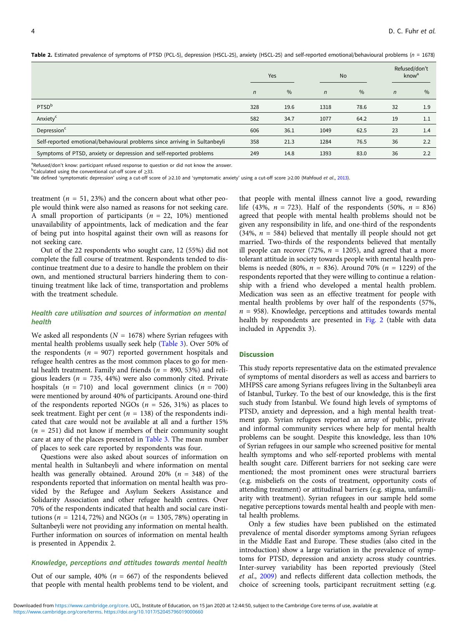|                                                                            |            | Yes  | <b>No</b>    |      | Refused/don't<br>know <sup>a</sup> |      |
|----------------------------------------------------------------------------|------------|------|--------------|------|------------------------------------|------|
|                                                                            | $\sqrt{n}$ | $\%$ | $\mathsf{n}$ | $\%$ | $\mathsf{n}$                       | $\%$ |
| PTSD <sup>b</sup>                                                          | 328        | 19.6 | 1318         | 78.6 | 32                                 | 1.9  |
| Anxiety <sup>c</sup>                                                       | 582        | 34.7 | 1077         | 64.2 | 19                                 | 1.1  |
| Depression <sup>c</sup>                                                    | 606        | 36.1 | 1049         | 62.5 | 23                                 | 1.4  |
| Self-reported emotional/behavioural problems since arriving in Sultanbeyli | 358        | 21.3 | 1284         | 76.5 | 36                                 | 2.2  |
| Symptoms of PTSD, anxiety or depression and self-reported problems         | 249        | 14.8 | 1393         | 83.0 | 36                                 | 2.2  |

<span id="page-3-0"></span>Table 2. Estimated prevalence of symptoms of PTSD (PCL-5), depression (HSCL-25), anxiety (HSCL-25) and self-reported emotional/behavioural problems (n = 1678)

<sup>a</sup>Refused/don't know: participant refused response to question or did not know the answer.<br>Poalculated using the conventional cut-off score of >33

<sup>o</sup>Calculated using the conventional cut-off score of ≥33.<br><sup>c</sup>We defined 'symptomatic depression' using a cut-off score of ≥2.10 and 'symptomatic anxiety' using a cut-off score ≥2.00 (Mahfoud *et al.*, [2013\)](#page-7-0).

treatment ( $n = 51, 23\%$ ) and the concern about what other people would think were also named as reasons for not seeking care. A small proportion of participants ( $n = 22, 10\%$ ) mentioned unavailability of appointments, lack of medication and the fear of being put into hospital against their own will as reasons for not seeking care.

Out of the 22 respondents who sought care, 12 (55%) did not complete the full course of treatment. Respondents tended to discontinue treatment due to a desire to handle the problem on their own, and mentioned structural barriers hindering them to continuing treatment like lack of time, transportation and problems with the treatment schedule.

## Health care utilisation and sources of information on mental health

We asked all respondents ( $N = 1678$ ) where Syrian refugees with mental health problems usually seek help [\(Table 3\)](#page-5-0). Over 50% of the respondents ( $n = 907$ ) reported government hospitals and refugee health centres as the most common places to go for mental health treatment. Family and friends ( $n = 890, 53\%$ ) and religious leaders ( $n = 735, 44\%$ ) were also commonly cited. Private hospitals  $(n = 710)$  and local government clinics  $(n = 700)$ were mentioned by around 40% of participants. Around one-third of the respondents reported NGOs ( $n = 526, 31\%$ ) as places to seek treatment. Eight per cent ( $n = 138$ ) of the respondents indicated that care would not be available at all and a further 15%  $(n = 251)$  did not know if members of their community sought care at any of the places presented in [Table 3.](#page-5-0) The mean number of places to seek care reported by respondents was four.

Questions were also asked about sources of information on mental health in Sultanbeyli and where information on mental health was generally obtained. Around 20% ( $n = 348$ ) of the respondents reported that information on mental health was provided by the Refugee and Asylum Seekers Assistance and Solidarity Association and other refugee health centres. Over 70% of the respondents indicated that health and social care institutions ( $n = 1214, 72\%)$  and NGOs ( $n = 1305, 78\%)$  operating in Sultanbeyli were not providing any information on mental health. Further information on sources of information on mental health is presented in Appendix 2.

#### Knowledge, perceptions and attitudes towards mental health

Out of our sample, 40% ( $n = 667$ ) of the respondents believed that people with mental health problems tend to be violent, and

that people with mental illness cannot live a good, rewarding life (43%,  $n = 723$ ). Half of the respondents (50%,  $n = 836$ ) agreed that people with mental health problems should not be given any responsibility in life, and one-third of the respondents (34%,  $n = 584$ ) believed that mentally ill people should not get married. Two-thirds of the respondents believed that mentally ill people can recover (72%,  $n = 1205$ ), and agreed that a more tolerant attitude in society towards people with mental health problems is needed (80%,  $n = 836$ ). Around 70% ( $n = 1229$ ) of the respondents reported that they were willing to continue a relationship with a friend who developed a mental health problem. Medication was seen as an effective treatment for people with mental health problems by over half of the respondents (57%,  $n = 958$ ). Knowledge, perceptions and attitudes towards mental health by respondents are presented in [Fig. 2](#page-5-0) (table with data included in Appendix 3).

### **Discussion**

This study reports representative data on the estimated prevalence of symptoms of mental disorders as well as access and barriers to MHPSS care among Syrians refugees living in the Sultanbeyli area of Istanbul, Turkey. To the best of our knowledge, this is the first such study from Istanbul. We found high levels of symptoms of PTSD, anxiety and depression, and a high mental health treatment gap. Syrian refugees reported an array of public, private and informal community services where help for mental health problems can be sought. Despite this knowledge, less than 10% of Syrian refugees in our sample who screened positive for mental health symptoms and who self-reported problems with mental health sought care. Different barriers for not seeking care were mentioned; the most prominent ones were structural barriers (e.g. misbeliefs on the costs of treatment, opportunity costs of attending treatment) or attitudinal barriers (e.g. stigma, unfamiliarity with treatment). Syrian refugees in our sample held some negative perceptions towards mental health and people with mental health problems.

Only a few studies have been published on the estimated prevalence of mental disorder symptoms among Syrian refugees in the Middle East and Europe. These studies (also cited in the introduction) show a large variation in the prevalence of symptoms for PTSD, depression and anxiety across study countries. Inter-survey variability has been reported previously (Steel et al., [2009\)](#page-8-0) and reflects different data collection methods, the choice of screening tools, participant recruitment setting (e.g.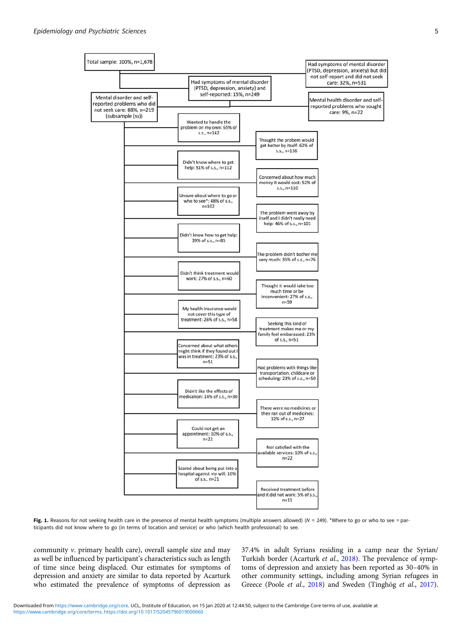<span id="page-4-0"></span>

Fig. 1. Reasons for not seeking health care in the presence of mental health symptoms (multiple answers allowed) ( $N = 249$ ). \*Where to go or who to see = participants did not know where to go (in terms of location and service) or who (which health professional) to see.

community v. primary health care), overall sample size and may as well be influenced by participant's characteristics such as length of time since being displaced. Our estimates for symptoms of depression and anxiety are similar to data reported by Acarturk who estimated the prevalence of symptoms of depression as

37.4% in adult Syrians residing in a camp near the Syrian/ Turkish border (Acarturk et al., [2018\)](#page-7-0). The prevalence of symptoms of depression and anxiety has been reported as 30–40% in other community settings, including among Syrian refugees in Greece (Poole et al., [2018](#page-7-0)) and Sweden (Tinghög et al., [2017](#page-8-0)).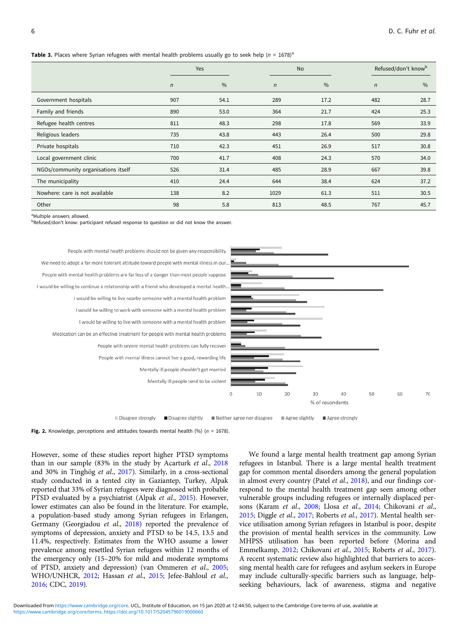#### <span id="page-5-0"></span>**Table 3.** Places where Syrian refugees with mental health problems usually go to seek help (n = 1678)<sup>a</sup>

|                                     | Yes          |      | <b>No</b>  |               | Refused/don't know <sup>b</sup> |               |  |
|-------------------------------------|--------------|------|------------|---------------|---------------------------------|---------------|--|
|                                     | $\mathsf{n}$ | $\%$ | $\sqrt{n}$ | $\frac{0}{0}$ | $\sqrt{n}$                      | $\frac{0}{0}$ |  |
| Government hospitals                | 907          | 54.1 | 289        | 17.2          | 482                             | 28.7          |  |
| Family and friends                  | 890          | 53.0 | 364        | 21.7          | 424                             | 25.3          |  |
| Refugee health centres              | 811          | 48.3 | 298        | 17.8          | 569                             | 33.9          |  |
| Religious leaders                   | 735          | 43.8 | 443        | 26.4          | 500                             | 29.8          |  |
| Private hospitals                   | 710          | 42.3 | 451        | 26.9          | 517                             | 30.8          |  |
| Local government clinic             | 700          | 41.7 | 408        | 24.3          | 570                             | 34.0          |  |
| NGOs/community organisations itself | 526          | 31.4 | 485        | 28.9          | 667                             | 39.8          |  |
| The municipality                    | 410          | 24.4 | 644        | 38.4          | 624                             | 37.2          |  |
| Nowhere: care is not available      | 138          | 8.2  | 1029       | 61.3          | 511                             | 30.5          |  |
| Other                               | 98           | 5.8  | 813        | 48.5          | 767                             | 45.7          |  |

<sup>a</sup>Multiple answers allowed.

<sup>b</sup>Refused/don't know: participant refused response to question or did not know the answer.



Disagree strongly Disagree slightly Neither agree nor disagree Agree slightly Agree strongly

#### Fig. 2. Knowledge, perceptions and attitudes towards mental health (%) ( $n = 1678$ ).

However, some of these studies report higher PTSD symptoms than in our sample (83% in the study by Acarturk et al., [2018](#page-7-0) and 30% in Tinghög et al., [2017\)](#page-8-0). Similarly, in a cross-sectional study conducted in a tented city in Gaziantep, Turkey, Alpak reported that 33% of Syrian refugees were diagnosed with probable PTSD evaluated by a psychiatrist (Alpak et al., [2015\)](#page-7-0). However, lower estimates can also be found in the literature. For example, a population-based study among Syrian refugees in Erlangen, Germany (Georgiadou et al., [2018](#page-7-0)) reported the prevalence of symptoms of depression, anxiety and PTSD to be 14.5, 13.5 and 11.4%, respectively. Estimates from the WHO assume a lower prevalence among resettled Syrian refugees within 12 months of the emergency only (15–20% for mild and moderate symptoms of PTSD, anxiety and depression) (van Ommeren et al., [2005](#page-8-0); WHO/UNHCR, [2012;](#page-8-0) Hassan et al., [2015](#page-7-0); Jefee-Bahloul et al., [2016;](#page-7-0) CDC, [2019](#page-7-0)).

We found a large mental health treatment gap among Syrian refugees in Istanbul. There is a large mental health treatment gap for common mental disorders among the general population in almost every country (Patel *et al.*, [2018\)](#page-7-0), and our findings correspond to the mental health treatment gap seen among other vulnerable groups including refugees or internally displaced persons (Karam et al., [2008;](#page-7-0) Llosa et al., [2014](#page-7-0); Chikovani et al., [2015;](#page-7-0) Diggle et al., [2017;](#page-7-0) Roberts et al., [2017](#page-7-0)). Mental health service utilisation among Syrian refugees in Istanbul is poor, despite the provision of mental health services in the community. Low MHPSS utilisation has been reported before (Morina and Emmelkamp, [2012;](#page-7-0) Chikovani et al., [2015;](#page-7-0) Roberts et al., [2017](#page-7-0)). A recent systematic review also highlighted that barriers to accessing mental health care for refugees and asylum seekers in Europe may include culturally-specific barriers such as language, helpseeking behaviours, lack of awareness, stigma and negative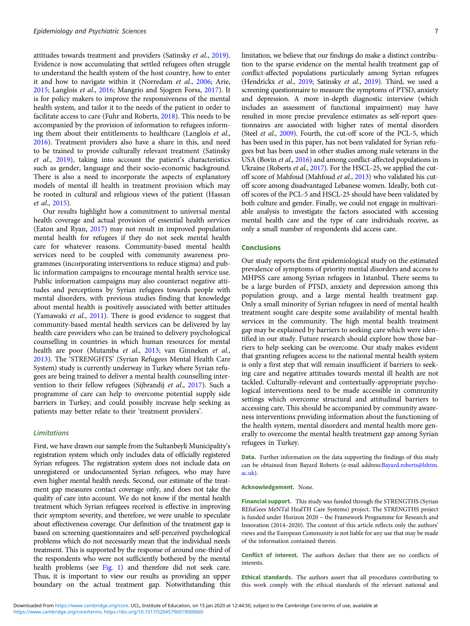attitudes towards treatment and providers (Satinsky et al., [2019\)](#page-7-0). Evidence is now accumulating that settled refugees often struggle to understand the health system of the host country, how to enter it and how to navigate within it (Norredam et al., [2006](#page-7-0); Arie, [2015;](#page-7-0) Langlois et al., [2016](#page-7-0); Mangrio and Sjogren Forss, [2017](#page-7-0)). It is for policy makers to improve the responsiveness of the mental health system, and tailor it to the needs of the patient in order to facilitate access to care (Fuhr and Roberts, [2018](#page-7-0)). This needs to be accompanied by the provision of information to refugees informing them about their entitlements to healthcare (Langlois et al., [2016\)](#page-7-0). Treatment providers also have a share in this, and need to be trained to provide culturally relevant treatment (Satinsky et al., [2019](#page-7-0)), taking into account the patient's characteristics such as gender, language and their socio-economic background. There is also a need to incorporate the aspects of explanatory models of mental ill health in treatment provision which may be rooted in cultural and religious views of the patient (Hassan et al., [2015\)](#page-7-0).

Our results highlight how a commitment to universal mental health coverage and actual provision of essential health services (Eaton and Ryan, [2017\)](#page-7-0) may not result in improved population mental health for refugees if they do not seek mental health care for whatever reasons. Community-based mental health services need to be coupled with community awareness programmes (incorporating interventions to reduce stigma) and public information campaigns to encourage mental health service use. Public information campaigns may also counteract negative attitudes and perceptions by Syrian refugees towards people with mental disorders, with previous studies finding that knowledge about mental health is positively associated with better attitudes (Yamawaki et al., [2011\)](#page-8-0). There is good evidence to suggest that community-based mental health services can be delivered by lay health care providers who can be trained to delivery psychological counselling in countries in which human resources for mental health are poor (Mutamba et al., [2013](#page-7-0); van Ginneken et al., [2013\)](#page-8-0). The 'STRENGHTS' (Syrian Refugees Mental Health Care System) study is currently underway in Turkey where Syrian refugees are being trained to deliver a mental health counselling intervention to their fellow refugees (Sijbrandij et al., [2017](#page-7-0)). Such a programme of care can help to overcome potential supply side barriers in Turkey, and could possibly increase help seeking as patients may better relate to their 'treatment providers'.

#### **Limitations**

First, we have drawn our sample from the Sultanbeyli Municipality's registration system which only includes data of officially registered Syrian refugees. The registration system does not include data on unregistered or undocumented Syrian refugees, who may have even higher mental health needs. Second, our estimate of the treatment gap measures contact coverage only, and does not take the quality of care into account. We do not know if the mental health treatment which Syrian refugees received is effective in improving their symptom severity, and therefore, we were unable to speculate about effectiveness coverage. Our definition of the treatment gap is based on screening questionnaires and self-perceived psychological problems which do not necessarily mean that the individual needs treatment. This is supported by the response of around one-third of the respondents who were not sufficiently bothered by the mental health problems (see [Fig. 1](#page-4-0)) and therefore did not seek care. Thus, it is important to view our results as providing an upper boundary on the actual treatment gap. Notwithstanding this

limitation, we believe that our findings do make a distinct contribution to the sparse evidence on the mental health treatment gap of conflict-affected populations particularly among Syrian refugees (Hendrickx et al., [2019;](#page-7-0) Satinsky et al., [2019\)](#page-7-0). Third, we used a screening questionnaire to measure the symptoms of PTSD, anxiety and depression. A more in-depth diagnostic interview (which includes an assessment of functional impairment) may have resulted in more precise prevalence estimates as self-report questionnaires are associated with higher rates of mental disorders (Steel et al., [2009](#page-8-0)). Fourth, the cut-off score of the PCL-5, which has been used in this paper, has not been validated for Syrian refugees but has been used in other studies among male veterans in the USA (Bovin et al., [2016](#page-7-0)) and among conflict-affected populations in Ukraine (Roberts et al., [2017\)](#page-7-0). For the HSCL-25, we applied the cutoff score of Mahfoud (Mahfoud et al., [2013](#page-7-0)) who validated his cutoff score among disadvantaged Lebanese women. Ideally, both cutoff scores of the PCL-5 and HSCL-25 should have been validated by both culture and gender. Finally, we could not engage in multivariable analysis to investigate the factors associated with accessing mental health care and the type of care individuals receive, as only a small number of respondents did access care.

### **Conclusions**

Our study reports the first epidemiological study on the estimated prevalence of symptoms of priority mental disorders and access to MHPSS care among Syrian refugees in Istanbul. There seems to be a large burden of PTSD, anxiety and depression among this population group, and a large mental health treatment gap. Only a small minority of Syrian refugees in need of mental health treatment sought care despite some availability of mental health services in the community. The high mental health treatment gap may be explained by barriers to seeking care which were identified in our study. Future research should explore how those barriers to help seeking can be overcome. Our study makes evident that granting refugees access to the national mental health system is only a first step that will remain insufficient if barriers to seeking care and negative attitudes towards mental ill health are not tackled. Culturally-relevant and contextually-appropriate psychological interventions need to be made accessible in community settings which overcome structural and attitudinal barriers to accessing care. This should be accompanied by community awareness interventions providing information about the functioning of the health system, mental disorders and mental health more generally to overcome the mental health treatment gap among Syrian refugees in Turkey.

Data. Further information on the data supporting the findings of this study can be obtained from Bayard Roberts (e-mail address: [Bayard.roberts@lshtm.](mailto:Bayard.roberts@lshtm.ac.uk) [ac.uk\)](mailto:Bayard.roberts@lshtm.ac.uk).

#### Acknowledgement. None.

Financial support. This study was funded through the STRENGTHS (Syrian REfuGees MeNTal HealTH Care Systems) project. The STRENGTHS project is funded under Horizon 2020 – the Framework Programme for Research and Innovation (2014–2020). The content of this article reflects only the authors' views and the European Community is not liable for any use that may be made of the information contained therein.

Conflict of interest. The authors declare that there are no conflicts of interests.

Ethical standards. The authors assert that all procedures contributing to this work comply with the ethical standards of the relevant national and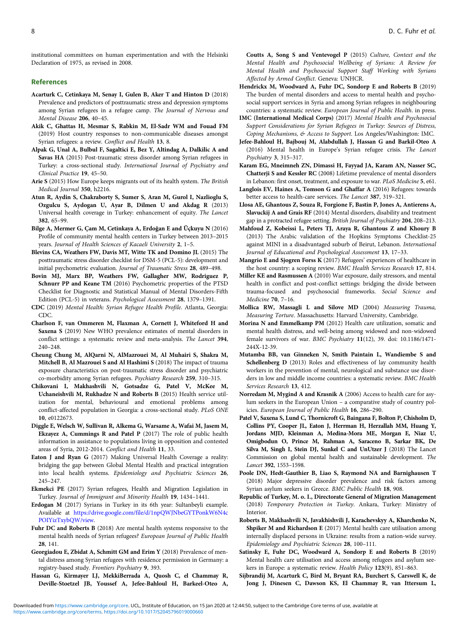<span id="page-7-0"></span>institutional committees on human experimentation and with the Helsinki Declaration of 1975, as revised in 2008.

#### References

- Acarturk C, Cetinkaya M, Senay I, Gulen B, Aker T and Hinton D (2018) Prevalence and predictors of posttraumatic stress and depression symptoms among Syrian refugees in a refugee camp. The Journal of Nervous and Mental Disease 206, 40–45.
- Akik C, Ghattas H, Mesmar S, Rabkin M, El-Sadr WM and Fouad FM (2019) Host country responses to non-communicable diseases amongst Syrian refugees: a review. Conflict and Health 13, 8.
- Alpak G, Unal A, Bulbul F, Sagaltici E, Bez Y, Altindag A, Dalkilic A and Savas HA (2015) Post-traumatic stress disorder among Syrian refugees in Turkey: a cross-sectional study. International Journal of Psychiatry and Clinical Practice 19, 45–50.
- Arie S (2015) How Europe keeps migrants out of its health system. The British Medical Journal 350, h2216.
- Atun R, Aydin S, Chakraborty S, Sumer S, Aran M, Gurol I, Nazlioglu S, Ozgulcu S, Aydogan U, Ayar B, Dilmen U and Akdag R (2013) Universal health coverage in Turkey: enhancement of equity. The Lancet 382, 65–99.
- Bilge A, Mermer G, Çam M, Cetinkaya A, Erdoğan E and Üçkuyu N (2016) Profile of community mental health centers in Turkey between 2013–2015 years. Journal of Health Sciences of Kacaeli University 2, 1–5.
- Blevins CA, Weathers FW, Davis MT, Witte TK and Domino JL (2015) The posttraumatic stress disorder checklist for DSM-5 (PCL-5): development and initial psychometric evaluation. Journal of Traumatic Stress 28, 489–498.
- Bovin MJ, Marx BP, Weathers FW, Gallagher MW, Rodriguez P, Schnurr PP and Keane TM (2016) Psychometric properties of the PTSD Checklist for Diagnostic and Statistical Manual of Mental Disorders-Fifth Edition (PCL-5) in veterans. Psychological Assessment 28, 1379–1391.
- CDC (2019) Mental Health: Syrian Refugee Health Profile. Atlanta, Georgia: CDC.
- Charlson F, van Ommeren M, Flaxman A, Cornett J, Whiteford H and Saxena S (2019) New WHO prevalence estimates of mental disorders in conflict settings: a systematic review and meta-analysis. The Lancet 394, 240–248.
- Cheung Chung M, AlQarni N, AlMazrouei M, Al Muhairi S, Shakra M, Mitchell B, Al Mazrouei S and Al Hashimi S (2018) The impact of trauma exposure characteristics on post-traumatic stress disorder and psychiatric co-morbidity among Syrian refugees. Psychiatry Research 259, 310–315.
- Chikovani I, Makhashvili N, Gotsadze G, Patel V, McKee M, Uchaneishvili M, Rukhadze N and Roberts B (2015) Health service utilization for mental, behavioural and emotional problems among conflict-affected population in Georgia: a cross-sectional study. PLoS ONE 10, e0122673.
- Diggle E, Welsch W, Sullivan R, Alkema G, Warsame A, Wafai M, Jasem M, Ekzayez A, Cummings R and Patel P (2017) The role of public health information in assistance to populations living in opposition and contested areas of Syria, 2012-2014. Conflict and Health 11, 33.
- Eaton J and Ryan G (2017) Making Universal Health Coverage a reality: bridging the gap between Global Mental Health and practical integration into local health systems. Epidemiology and Psychiatric Sciences 26, 245–247.
- Ekmekci PE (2017) Syrian refugees, Health and Migration Legislation in Turkey. Journal of Immigrant and Minority Health 19, 1434–1441.
- Erdogan M (2017) Syrians in Turkey in its 6th year: Sultanbeyli example. Available at [https://drive.google.com/file/d/1npQWJNbeGYTPonkW6N4c](https://drive.google.com/file/d/1npQWJNbeGYTPonkW6N4cPOIYizTxybQW/view) [POIYizTxybQW/view.](https://drive.google.com/file/d/1npQWJNbeGYTPonkW6N4cPOIYizTxybQW/view)
- Fuhr DC and Roberts B (2018) Are mental health systems responsive to the mental health needs of Syrian refugees? European Journal of Public Health 28, 141.
- Georgiadou E, Zbidat A, Schmitt GM and Erim Y (2018) Prevalence of mental distress among Syrian refugees with residence permission in Germany: a registry-based study. Frontiers Psychiatry 9, 393.
- Hassan G, Kirmayer LJ, MekkiBerrada A, Quosh C, el Chammay R, Deville-Stoetzel JB, Youssef A, Jefee-Bahloul H, Barkeel-Oteo A,

Coutts A, Song S and Ventevogel P (2015) Culture, Context and the Mental Health and Psychosocial Wellbeing of Syrians: A Review for Mental Health and Psychosocial Support Staff Working with Syrians Affected by Armed Conflict. Geneva: UNHCR.

- Hendrickx M, Woodward A, Fuhr DC, Sondorp E and Roberts B (2019) The burden of mental disorders and access to mental health and psychosocial support services in Syria and among Syrian refugees in neighbouring countries: a systematic review. European Journal of Public Health. in press.
- IMC (International Medical Corps) (2017) Mental Health and Psychosocial Support Considerations for Syrian Refugees in Turkey: Sources of Distress, Coping Mechanisms, & Access to Support. Los Angeles/Washington: IMC.
- Jefee-Bahloul H, Bajbouj M, Alabdullah J, Hassan G and Barkil-Oteo A (2016) Mental health in Europe's Syrian refugee crisis. The Lancet Psychiatry 3, 315–317.
- Karam EG, Mneimneh ZN, Dimassi H, Fayyad JA, Karam AN, Nasser SC, Chatterji S and Kessler RC (2008) Lifetime prevalence of mental disorders in Lebanon: first onset, treatment, and exposure to war. PLoS Medicine 5, e61.
- Langlois EV, Haines A, Tomson G and Ghaffar A (2016) Refugees: towards better access to health-care services. The Lancet 387, 319–321.
- Llosa AE, Ghantous Z, Souza R, Forgione F, Bastin P, Jones A, Antierens A, Slavuckij A and Grais RF (2014) Mental disorders, disability and treatment gap in a protracted refugee setting. British Journal of Psychiatry 204, 208-213.
- Mahfoud Z, Kobeissi L, Peters TJ, Araya R, Ghantous Z and Khoury B (2013) The Arabic validation of the Hopkins Symptoms Checklist-25 against MINI in a disadvantaged suburb of Beirut, Lebanon. International Journal of Educational and Psychological Assessment 13, 17–33.
- Mangrio E and Sjogren Forss K (2017) Refugees' experiences of healthcare in the host country: a scoping review. BMC Health Services Research 17, 814.
- Miller KE and Rasmussen A (2010) War exposure, daily stressors, and mental health in conflict and post-conflict settings: bridging the divide between trauma-focused and psychosocial frameworks. Social Science and Medicine 70, 7–16.
- Mollica RW, Massagli L and Silove MD (2004) Measuring Trauma, Measuring Torture. Massachusetts: Harvard University, Cambridge.
- Morina N and Emmelkamp PM (2012) Health care utilization, somatic and mental health distress, and well-being among widowed and non-widowed female survivors of war. BMC Psychiatry 11(12), 39. doi: 10.1186/1471- 244X-12-39.
- Mutamba BB, van Ginneken N, Smith Paintain L, Wandiembe S and Schellenberg D (2013) Roles and effectiveness of lay community health workers in the prevention of mental, neurological and substance use disorders in low and middle income countries: a systematic review. BMC Health Services Research 13, 412.
- Norredam M, Mygind A and Krasnik A (2006) Access to health care for asylum seekers in the European Union – a comparative study of country policies. European Journal of Public Health 16, 286–290.
- Patel V, Saxena S, Lund C, Thornicroft G, Baingana F, Bolton P, Chisholm D, Collins PY, Cooper JL, Eaton J, Herrman H, Herzallah MM, Huang Y, Jordans MJD, Kleinman A, Medina-Mora ME, Morgan E, Niaz U, Omigbodun O, Prince M, Rahman A, Saraceno B, Sarkar BK, De Silva M, Singh I, Stein DJ, Sunkel C and UnUtzer J (2018) The Lancet Commission on global mental health and sustainable development. The Lancet 392, 1553–1598.
- Poole DN, Hedt-Gauthier B, Liao S, Raymond NA and Barnighausen T (2018) Major depressive disorder prevalence and risk factors among Syrian asylum seekers in Greece. BMC Public Health 18, 908.
- Republic of Turkey, M. o. I., Directorate General of Migration Management (2018) Temporary Protection in Turkey. Ankara, Turkey: Ministry of Interior.
- Roberts B, Makhashvili N, Javakhishvili J, Karachevskyy A, Kharchenko N, Shpiker M and Richardson E (2017) Mental health care utilisation among internally displaced persons in Ukraine: results from a nation-wide survey. Epidemiology and Psychiatric Sciences 28, 100–111.
- Satinsky E, Fuhr DC, Woodward A, Sondorp E and Roberts B (2019) Mental health care utilisation and access among refugees and asylum seekers in Europe: a systematic review. Health Policy 123(9), 851–863.
- Sijbrandij M, Acarturk C, Bird M, Bryant RA, Burchert S, Carswell K, de Jong J, Dinesen C, Dawson KS, El Chammay R, van Ittersum L,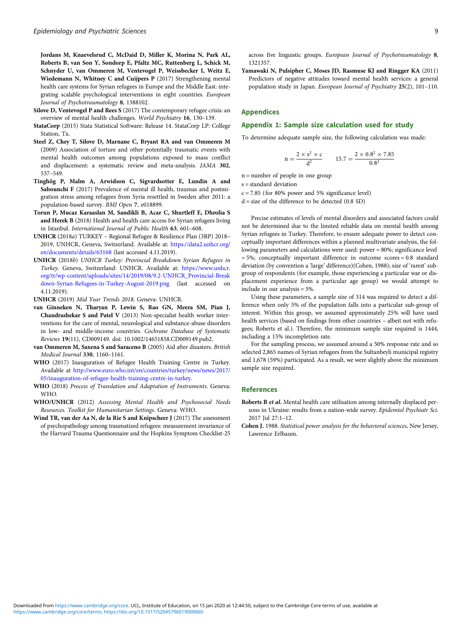<span id="page-8-0"></span>Jordans M, Knaevelsrud C, McDaid D, Miller K, Morina N, Park AL, Roberts B, van Son Y, Sondorp E, Pfaltz MC, Ruttenberg L, Schick M, Schnyder U, van Ommeren M, Ventevogel P, Weissbecker I, Weitz E, Wiedemann N, Whitney C and Cuijpers P (2017) Strengthening mental health care systems for Syrian refugees in Europe and the Middle East: integrating scalable psychological interventions in eight countries. European Journal of Psychotraumatology 8, 1388102.

- Silove D, Ventevogel P and Rees S (2017) The contemporary refugee crisis: an overview of mental health challenges. World Psychiatry 16, 130–139.
- StataCorp (2015) Stata Statistical Software: Release 14. StataCorp LP: College Station, Tx.
- Steel Z, Chey T, Silove D, Marnane C, Bryant RA and van Ommeren M (2009) Association of torture and other potentially traumatic events with mental health outcomes among populations exposed to mass conflict and displacement: a systematic review and meta-analysis. JAMA 302, 537–549.
- Tinghög P, Malm A, Arwidson C, Sigvardsotter E, Lundin A and Sabounchi F (2017) Prevalence of mental ill health, traumas and postmigration stress among refugees from Syria resettled in Sweden after 2011: a population-based survey. BMJ Open 7, e018899.
- Torun P, Mucaz Karaaslan M, Sandikli B, Acar C, Shurtleff E, Dhrolia S and Herek B (2018) Health and health care access for Syrian refugees living in Istanbul. International Journal of Public Health 63, 601–608.
- UNHCR (2018a) TURKEY Regional Refugee & Resilience Plan (3RP) 2018– 2019, UNHCR, Geneva, Switzerland. Available at: [https://data2.unhcr.org/](https://data2.unhcr.org/en/documents/details/63168) [en/documents/details/63168](https://data2.unhcr.org/en/documents/details/63168) (last accessed 4.11.2019).
- UNHCR (2018b) UNHCR Turkey: Provincial Breakdown Syrian Refugees in Turkey. Geneva, Switzerland: UNHCR. Available at: [https://www.unhcr.](https://www.unhcr.org/tr/wp-content/uploads/sites/14/2019/08/9.2-UNHCR_Provincial-Breakdown-Syrian-Refugees-in-Turkey-August-2019.png) [org/tr/wp-content/uploads/sites/14/2019/08/9.2-UNHCR\\_Provincial-Break](https://www.unhcr.org/tr/wp-content/uploads/sites/14/2019/08/9.2-UNHCR_Provincial-Breakdown-Syrian-Refugees-in-Turkey-August-2019.png) [down-Syrian-Refugees-in-Turkey-August-2019.png](https://www.unhcr.org/tr/wp-content/uploads/sites/14/2019/08/9.2-UNHCR_Provincial-Breakdown-Syrian-Refugees-in-Turkey-August-2019.png) (last accessed on 4.11.2019).
- UNHCR (2019) Mid Year Trends 2018. Geneva: UNHCR.
- van Ginneken N, Tharyan P, Lewin S, Rao GN, Meera SM, Pian J, Chandrashekar S and Patel V (2013) Non-specialist health worker interventions for the care of mental, neurological and substance-abuse disorders in low- and middle-income countries. Cochrane Database of Systematic Reviews 19(11), CD009149. doi: 10.1002/14651858.CD009149.pub2.
- van Ommeren M, Saxena S and Saraceno B (2005) Aid after disasters. British Medical Journal 330, 1160–1161.
- WHO (2017) Inauguration of Refugee Health Training Centre in Turkey. Available at [http://www.euro.who.int/en/countries/turkey/news/news/2017/](http://www.euro.who.int/en/countries/turkey/news/news/2017/05/inauguration-of-refugee-health-training-centre-in-turkey) [05/inauguration-of-refugee-health-training-centre-in-turkey.](http://www.euro.who.int/en/countries/turkey/news/news/2017/05/inauguration-of-refugee-health-training-centre-in-turkey)
- WHO (2018) Process of Translation and Adaptation of Instruments. Geneva: WHO.
- WHO/UNHCR (2012) Assessing Mental Health and Psychosocial Needs Resources. Toolkit for Humanitarian Settings. Geneva: WHO.
- Wind TR, van der Aa N, de la Rie S and Knipscheer J (2017) The assessment of psychopathology among traumatized refugees: measurement invariance of the Harvard Trauma Questionnaire and the Hopkins Symptom Checklist-25

across five linguistic groups. European Journal of Psychotraumatology 8, 1321357.

Yamawaki N, Pulsipher C, Moses JD, Rasmuse KJ and Ringger KA (2011) Predictors of negative attitudes toward mental health services: a general population study in Japan. European Journal of Psychiatry 25(2), 101–110.

## Appendices

### Appendix 1: Sample size calculation used for study

To determine adequate sample size, the following calculation was made:

$$
n = \frac{2 \times s^2 \times c}{d^2} \qquad 15.7 = \frac{2 \times 0.8^2 \times 7.85}{0.8^2}
$$

 $n =$  number of people in one group

 $s =$ standard deviation

 $c = 7.85$  (for 80% power and 5% significance level)

 $d = size of the difference to be detected (0.8 SD)$ 

Precise estimates of levels of mental disorders and associated factors could not be determined due to the limited reliable data on mental health among Syrian refugees in Turkey. Therefore, to ensure adequate power to detect conceptually important differences within a planned multivariate analysis, the following parameters and calculations were used: power = 80%; significance level  $= 5\%$ ; conceptually important difference in outcome scores  $= 0.8$  standard deviation (by convention a 'large' difference)(Cohen, 1988); size of 'rarest' subgroup of respondents (for example, those experiencing a particular war or displacement experience from a particular age group) we would attempt to include in our analysis = 5%.

Using these parameters, a sample size of 314 was required to detect a difference when only 5% of the population falls into a particular sub-group of interest. Within this group, we assumed approximately 25% will have used health services (based on findings from other countries – albeit not with refugees; Roberts et al.). Therefore, the minimum sample size required is 1444, including a 15% incompletion rate.

For the sampling process, we assumed around a 50% response rate and so selected 2,865 names of Syrian refugees from the Sultanbeyli municipal registry and 1,678 (59%) participated. As a result, we were slightly above the minimum sample size required.

#### References

- Roberts B et al. Mental health care utilisation among internally displaced persons in Ukraine: results from a nation-wide survey. Epidemiol Psychiatr Sci. 2017 Jul 27:1–12.
- Cohen J. 1988. Statistical power analysis for the behavioral sciences, New Jersey, Lawrence Erlbaum.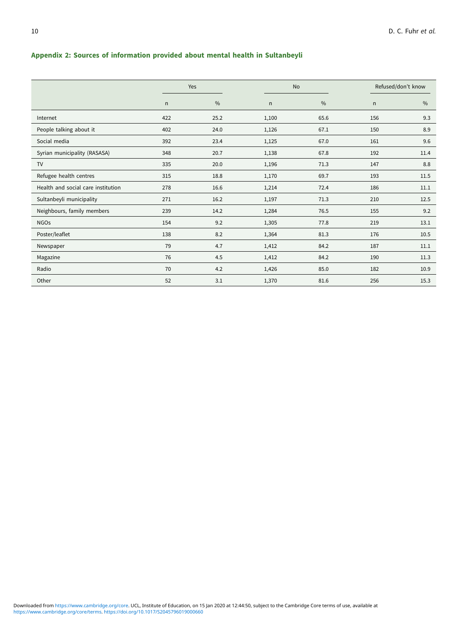# Appendix 2: Sources of information provided about mental health in Sultanbeyli

|                                    |     | Yes           | <b>No</b> |               | Refused/don't know |               |  |
|------------------------------------|-----|---------------|-----------|---------------|--------------------|---------------|--|
|                                    | n   | $\frac{0}{0}$ | n         | $\frac{0}{0}$ | n                  | $\frac{0}{0}$ |  |
| Internet                           | 422 | 25.2          | 1,100     | 65.6          | 156                | 9.3           |  |
| People talking about it            | 402 | 24.0          | 1,126     | 67.1          | 150                | 8.9           |  |
| Social media                       | 392 | 23.4          | 1,125     | 67.0          | 161                | 9.6           |  |
| Syrian municipality (RASASA)       | 348 | 20.7          | 1,138     | 67.8          | 192                | 11.4          |  |
| <b>TV</b>                          | 335 | 20.0          | 1,196     | 71.3          | 147                | 8.8           |  |
| Refugee health centres             | 315 | 18.8          | 1,170     | 69.7          | 193                | 11.5          |  |
| Health and social care institution | 278 | 16.6          | 1,214     | 72.4          | 186                | 11.1          |  |
| Sultanbeyli municipality           | 271 | 16.2          | 1,197     | 71.3          | 210                | 12.5          |  |
| Neighbours, family members         | 239 | 14.2          | 1,284     | 76.5          | 155                | 9.2           |  |
| <b>NGOs</b>                        | 154 | 9.2           | 1,305     | 77.8          | 219                | 13.1          |  |
| Poster/leaflet                     | 138 | 8.2           | 1,364     | 81.3          | 176                | 10.5          |  |
| Newspaper                          | 79  | 4.7           | 1,412     | 84.2          | 187                | 11.1          |  |
| Magazine                           | 76  | 4.5           | 1,412     | 84.2          | 190                | 11.3          |  |
| Radio                              | 70  | 4.2           | 1,426     | 85.0          | 182                | 10.9          |  |
| Other                              | 52  | 3.1           | 1,370     | 81.6          | 256                | 15.3          |  |